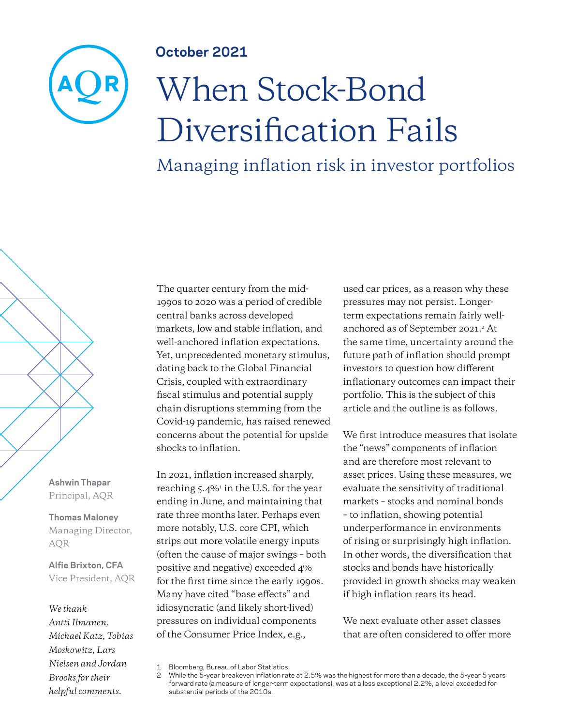### **October 2021**

# When Stock-Bond Diversification Fails

Managing inflation risk in investor portfolios

**Ashwin Thapar** Principal, AQR

**Thomas Maloney** Managing Director, AQR

**Alfie Brixton, CFA** Vice President, AQR

#### *We thank*

*Antti Ilmanen, Michael Katz, Tobias Moskowitz, Lars Nielsen and Jordan Brooks for their helpful comments.*

The quarter century from the mid-1990s to 2020 was a period of credible central banks across developed markets, low and stable inflation, and well-anchored inflation expectations. Yet, unprecedented monetary stimulus, dating back to the Global Financial Crisis, coupled with extraordinary fiscal stimulus and potential supply chain disruptions stemming from the Covid-19 pandemic, has raised renewed concerns about the potential for upside shocks to inflation.

In 2021, inflation increased sharply, reaching 5.4%<sup>1</sup> in the U.S. for the year ending in June, and maintaining that rate three months later. Perhaps even more notably, U.S. core CPI, which strips out more volatile energy inputs (often the cause of major swings – both positive and negative) exceeded 4% for the first time since the early 1990s. Many have cited "base effects" and idiosyncratic (and likely short-lived) pressures on individual components of the Consumer Price Index, e.g.,

used car prices, as a reason why these pressures may not persist. Longerterm expectations remain fairly wellanchored as of September 2021.<sup>2</sup> At the same time, uncertainty around the future path of inflation should prompt investors to question how different inflationary outcomes can impact their portfolio. This is the subject of this article and the outline is as follows.

We first introduce measures that isolate the "news" components of inflation and are therefore most relevant to asset prices. Using these measures, we evaluate the sensitivity of traditional markets – stocks and nominal bonds – to inflation, showing potential underperformance in environments of rising or surprisingly high inflation. In other words, the diversification that stocks and bonds have historically provided in growth shocks may weaken if high inflation rears its head.

We next evaluate other asset classes that are often considered to offer more

<sup>1</sup> Bloomberg, Bureau of Labor Statistics.

While the 5-year breakeven inflation rate at 2.5% was the highest for more than a decade, the 5-year 5 years forward rate (a measure of longer-term expectations), was at a less exceptional 2.2%, a level exceeded for substantial periods of the 2010s.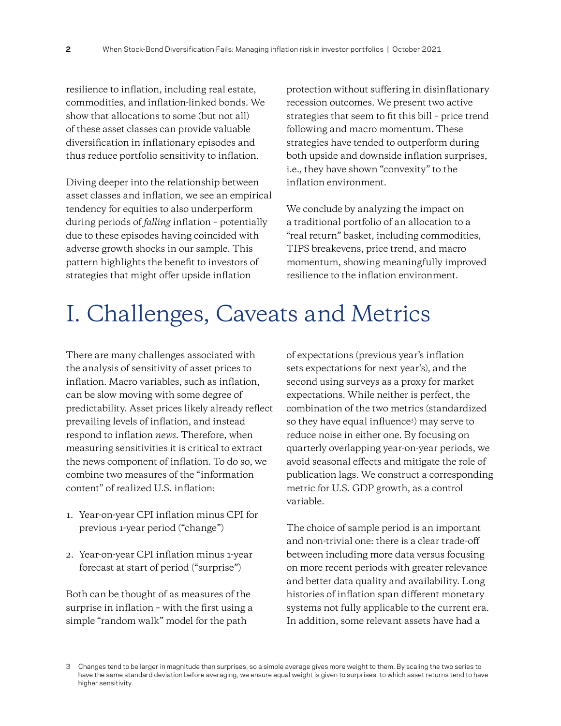resilience to inflation, including real estate, commodities, and inflation-linked bonds. We show that allocations to some (but not all) of these asset classes can provide valuable diversification in inflationary episodes and thus reduce portfolio sensitivity to inflation.

Diving deeper into the relationship between asset classes and inflation, we see an empirical tendency for equities to also underperform during periods of *falling* inflation – potentially due to these episodes having coincided with adverse growth shocks in our sample. This pattern highlights the benefit to investors of strategies that might offer upside inflation

protection without suffering in disinflationary recession outcomes. We present two active strategies that seem to fit this bill – price trend following and macro momentum. These strategies have tended to outperform during both upside and downside inflation surprises, i.e., they have shown "convexity" to the inflation environment.

We conclude by analyzing the impact on a traditional portfolio of an allocation to a "real return" basket, including commodities, TIPS breakevens, price trend, and macro momentum, showing meaningfully improved resilience to the inflation environment.

# I. Challenges, Caveats and Metrics

There are many challenges associated with the analysis of sensitivity of asset prices to inflation. Macro variables, such as inflation, can be slow moving with some degree of predictability. Asset prices likely already reflect prevailing levels of inflation, and instead respond to inflation *news*. Therefore, when measuring sensitivities it is critical to extract the news component of inflation. To do so, we combine two measures of the "information content" of realized U.S. inflation:

- 1. Year-on-year CPI inflation minus CPI for previous 1-year period ("change")
- 2. Year-on-year CPI inflation minus 1-year forecast at start of period ("surprise")

Both can be thought of as measures of the surprise in inflation – with the first using a simple "random walk" model for the path

of expectations (previous year's inflation sets expectations for next year's), and the second using surveys as a proxy for market expectations. While neither is perfect, the combination of the two metrics (standardized so they have equal influence<sup>3</sup> ) may serve to reduce noise in either one. By focusing on quarterly overlapping year-on-year periods, we avoid seasonal effects and mitigate the role of publication lags. We construct a corresponding metric for U.S. GDP growth, as a control variable.

The choice of sample period is an important and non-trivial one: there is a clear trade-off between including more data versus focusing on more recent periods with greater relevance and better data quality and availability. Long histories of inflation span different monetary systems not fully applicable to the current era. In addition, some relevant assets have had a

<sup>3</sup> Changes tend to be larger in magnitude than surprises, so a simple average gives more weight to them. By scaling the two series to have the same standard deviation before averaging, we ensure equal weight is given to surprises, to which asset returns tend to have higher sensitivity.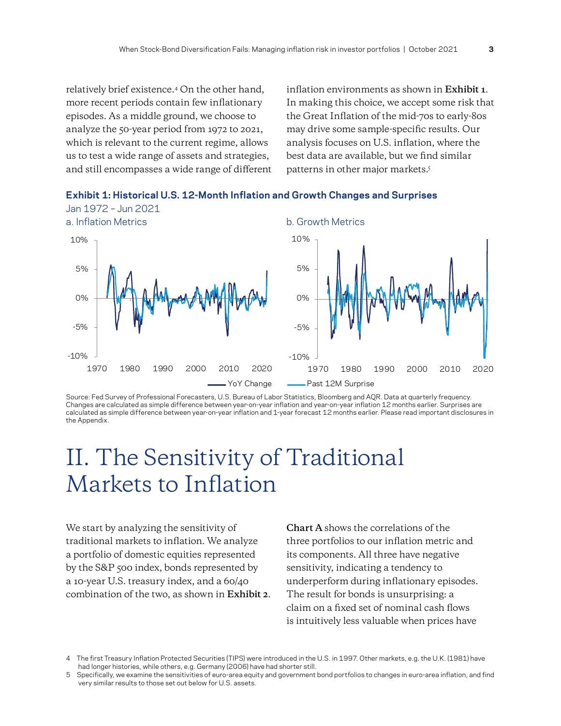relatively brief existence.4 On the other hand, more recent periods contain few inflationary episodes. As a middle ground, we choose to analyze the 50-year period from 1972 to 2021, which is relevant to the current regime, allows us to test a wide range of assets and strategies, and still encompasses a wide range of different inflation environments as shown in **Exhibit 1**. In making this choice, we accept some risk that the Great Inflation of the mid-70s to early-80s may drive some sample-specific results. Our analysis focuses on U.S. inflation, where the best data are available, but we find similar patterns in other major markets.<sup>5</sup>





Source: Fed Survey of Professional Forecasters, U.S. Bureau of Labor Statistics, Bloomberg and AQR. Data at quarterly frequency. Changes are calculated as simple difference between year-on-year inflation and year-on-year inflation 12 months earlier. Surprises are calculated as simple difference between year-on-year inflation and 1-year forecast 12 months earlier. Please read important disclosures in the Appendix.

### II. The Sensitivity of Traditional Markets to Inflation

We start by analyzing the sensitivity of traditional markets to inflation. We analyze a portfolio of domestic equities represented by the S&P 500 index, bonds represented by a 10-year U.S. treasury index, and a 60/40 combination of the two, as shown in **Exhibit 2**. **Chart A** shows the correlations of the three portfolios to our inflation metric and its components. All three have negative sensitivity, indicating a tendency to underperform during inflationary episodes. The result for bonds is unsurprising: a claim on a fixed set of nominal cash flows is intuitively less valuable when prices have

<sup>4</sup> The first Treasury Inflation Protected Securities (TIPS) were introduced in the U.S. in 1997. Other markets, e.g. the U.K. (1981) have had longer histories, while others, e.g. Germany (2006) have had shorter still.

<sup>5</sup> Specifically, we examine the sensitivities of euro-area equity and government bond portfolios to changes in euro-area inflation, and find very similar results to those set out below for U.S. assets.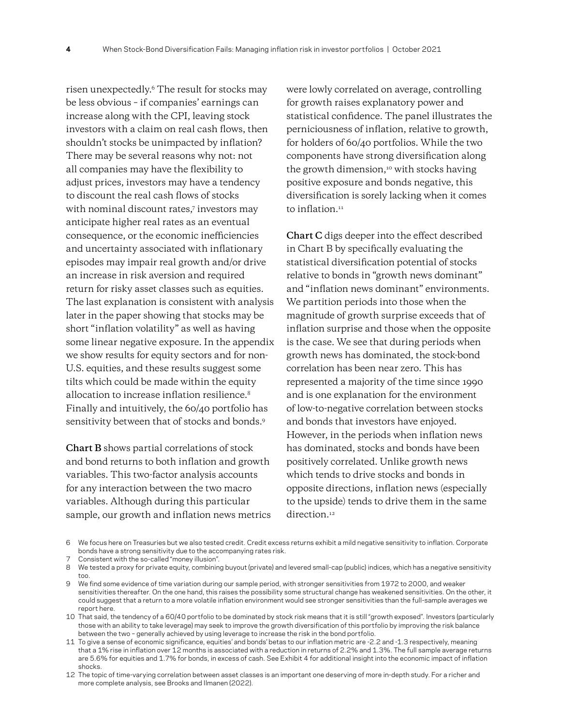risen unexpectedly.6 The result for stocks may be less obvious – if companies' earnings can increase along with the CPI, leaving stock investors with a claim on real cash flows, then shouldn't stocks be unimpacted by inflation? There may be several reasons why not: not all companies may have the flexibility to adjust prices, investors may have a tendency to discount the real cash flows of stocks with nominal discount rates,7 investors may anticipate higher real rates as an eventual consequence, or the economic inefficiencies and uncertainty associated with inflationary episodes may impair real growth and/or drive an increase in risk aversion and required return for risky asset classes such as equities. The last explanation is consistent with analysis later in the paper showing that stocks may be short "inflation volatility" as well as having some linear negative exposure. In the appendix we show results for equity sectors and for non-U.S. equities, and these results suggest some tilts which could be made within the equity allocation to increase inflation resilience.<sup>8</sup> Finally and intuitively, the 60/40 portfolio has sensitivity between that of stocks and bonds.<sup>9</sup>

**Chart B** shows partial correlations of stock and bond returns to both inflation and growth variables. This two-factor analysis accounts for any interaction between the two macro variables. Although during this particular sample, our growth and inflation news metrics were lowly correlated on average, controlling for growth raises explanatory power and statistical confidence. The panel illustrates the perniciousness of inflation, relative to growth, for holders of 60/40 portfolios. While the two components have strong diversification along the growth dimension,<sup>10</sup> with stocks having positive exposure and bonds negative, this diversification is sorely lacking when it comes to inflation.<sup>11</sup>

**Chart C** digs deeper into the effect described in Chart B by specifically evaluating the statistical diversification potential of stocks relative to bonds in "growth news dominant" and "inflation news dominant" environments. We partition periods into those when the magnitude of growth surprise exceeds that of inflation surprise and those when the opposite is the case. We see that during periods when growth news has dominated, the stock-bond correlation has been near zero. This has represented a majority of the time since 1990 and is one explanation for the environment of low-to-negative correlation between stocks and bonds that investors have enjoyed. However, in the periods when inflation news has dominated, stocks and bonds have been positively correlated. Unlike growth news which tends to drive stocks and bonds in opposite directions, inflation news (especially to the upside) tends to drive them in the same direction.<sup>12</sup>

<sup>6</sup> We focus here on Treasuries but we also tested credit. Credit excess returns exhibit a mild negative sensitivity to inflation. Corporate bonds have a strong sensitivity due to the accompanying rates risk.

<sup>7</sup> Consistent with the so-called "money illusion".

<sup>8</sup> We tested a proxy for private equity, combining buyout (private) and levered small-cap (public) indices, which has a negative sensitivity too.

<sup>9</sup> We find some evidence of time variation during our sample period, with stronger sensitivities from 1972 to 2000, and weaker sensitivities thereafter. On the one hand, this raises the possibility some structural change has weakened sensitivities. On the other, it could suggest that a return to a more volatile inflation environment would see stronger sensitivities than the full-sample averages we report here.

<sup>10</sup> That said, the tendency of a 60/40 portfolio to be dominated by stock risk means that it is still "growth exposed". Investors (particularly those with an ability to take leverage) may seek to improve the growth diversification of this portfolio by improving the risk balance between the two – generally achieved by using leverage to increase the risk in the bond portfolio.

<sup>11</sup> To give a sense of economic significance, equities' and bonds' betas to our inflation metric are -2.2 and -1.3 respectively, meaning that a 1% rise in inflation over 12 months is associated with a reduction in returns of 2.2% and 1.3%. The full sample average returns are 5.6% for equities and 1.7% for bonds, in excess of cash. See Exhibit 4 for additional insight into the economic impact of inflation shocks.

<sup>12</sup> The topic of time-varying correlation between asset classes is an important one deserving of more in-depth study. For a richer and more complete analysis, see Brooks and Ilmanen (2022).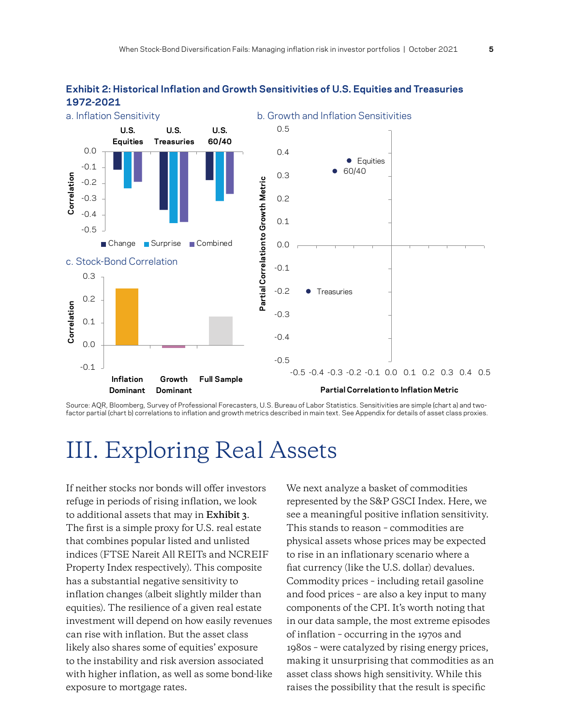

#### **Exhibit 2: Historical Inflation and Growth Sensitivities of U.S. Equities and Treasuries 1972-2021**

Source: AQR, Bloomberg, Survey of Professional Forecasters, U.S. Bureau of Labor Statistics. Sensitivities are simple (chart a) and twofactor partial (chart b) correlations to inflation and growth metrics described in main text. See Appendix for details of asset class proxies.

## III. Exploring Real Assets

If neither stocks nor bonds will offer investors refuge in periods of rising inflation, we look to additional assets that may in **Exhibit 3**. The first is a simple proxy for U.S. real estate that combines popular listed and unlisted indices (FTSE Nareit All REITs and NCREIF Property Index respectively). This composite has a substantial negative sensitivity to inflation changes (albeit slightly milder than equities). The resilience of a given real estate investment will depend on how easily revenues can rise with inflation. But the asset class likely also shares some of equities' exposure to the instability and risk aversion associated with higher inflation, as well as some bond-like exposure to mortgage rates.

We next analyze a basket of commodities represented by the S&P GSCI Index. Here, we see a meaningful positive inflation sensitivity. This stands to reason – commodities are physical assets whose prices may be expected to rise in an inflationary scenario where a fiat currency (like the U.S. dollar) devalues. Commodity prices – including retail gasoline and food prices – are also a key input to many components of the CPI. It's worth noting that in our data sample, the most extreme episodes of inflation – occurring in the 1970s and 1980s – were catalyzed by rising energy prices, making it unsurprising that commodities as an asset class shows high sensitivity. While this raises the possibility that the result is specific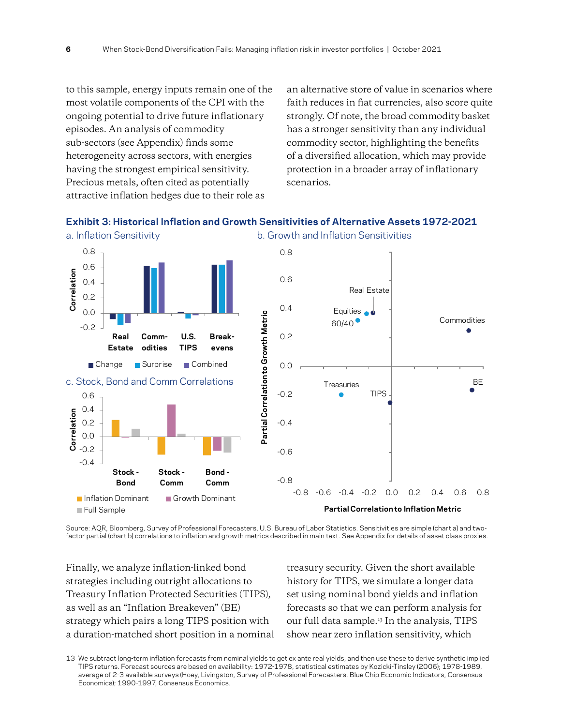to this sample, energy inputs remain one of the most volatile components of the CPI with the ongoing potential to drive future inflationary episodes. An analysis of commodity sub-sectors (see Appendix) finds some heterogeneity across sectors, with energies having the strongest empirical sensitivity. Precious metals, often cited as potentially attractive inflation hedges due to their role as

an alternative store of value in scenarios where faith reduces in fiat currencies, also score quite strongly. Of note, the broad commodity basket has a stronger sensitivity than any individual commodity sector, highlighting the benefits of a diversified allocation, which may provide protection in a broader array of inflationary scenarios.

### **Exhibit 3: Historical Inflation and Growth Sensitivities of Alternative Assets 1972-2021**



Source: AQR, Bloomberg, Survey of Professional Forecasters, U.S. Bureau of Labor Statistics. Sensitivities are simple (chart a) and twofactor partial (chart b) correlations to inflation and growth metrics described in main text. See Appendix for details of asset class proxies.

Finally, we analyze inflation-linked bond strategies including outright allocations to Treasury Inflation Protected Securities (TIPS), as well as an "Inflation Breakeven" (BE) strategy which pairs a long TIPS position with a duration-matched short position in a nominal treasury security. Given the short available history for TIPS, we simulate a longer data set using nominal bond yields and inflation forecasts so that we can perform analysis for our full data sample.<sup>13</sup> In the analysis, TIPS show near zero inflation sensitivity, which

<sup>13</sup> We subtract long-term inflation forecasts from nominal yields to get ex ante real yields, and then use these to derive synthetic implied TIPS returns. Forecast sources are based on availability: 1972-1978, statistical estimates by Kozicki-Tinsley (2006); 1978-1989, average of 2-3 available surveys (Hoey, Livingston, Survey of Professional Forecasters, Blue Chip Economic Indicators, Consensus Economics); 1990-1997, Consensus Economics.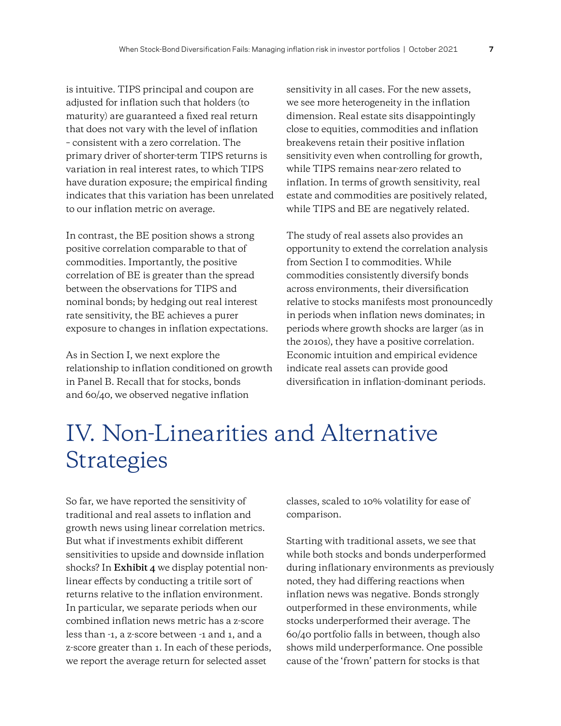is intuitive. TIPS principal and coupon are adjusted for inflation such that holders (to maturity) are guaranteed a fixed real return that does not vary with the level of inflation – consistent with a zero correlation. The primary driver of shorter-term TIPS returns is variation in real interest rates, to which TIPS have duration exposure; the empirical finding indicates that this variation has been unrelated to our inflation metric on average.

In contrast, the BE position shows a strong positive correlation comparable to that of commodities. Importantly, the positive correlation of BE is greater than the spread between the observations for TIPS and nominal bonds; by hedging out real interest rate sensitivity, the BE achieves a purer exposure to changes in inflation expectations.

As in Section I, we next explore the relationship to inflation conditioned on growth in Panel B. Recall that for stocks, bonds and 60/40, we observed negative inflation

sensitivity in all cases. For the new assets, we see more heterogeneity in the inflation dimension. Real estate sits disappointingly close to equities, commodities and inflation breakevens retain their positive inflation sensitivity even when controlling for growth, while TIPS remains near-zero related to inflation. In terms of growth sensitivity, real estate and commodities are positively related, while TIPS and BE are negatively related.

The study of real assets also provides an opportunity to extend the correlation analysis from Section I to commodities. While commodities consistently diversify bonds across environments, their diversification relative to stocks manifests most pronouncedly in periods when inflation news dominates; in periods where growth shocks are larger (as in the 2010s), they have a positive correlation. Economic intuition and empirical evidence indicate real assets can provide good diversification in inflation-dominant periods.

# IV. Non-Linearities and Alternative Strategies

So far, we have reported the sensitivity of traditional and real assets to inflation and growth news using linear correlation metrics. But what if investments exhibit different sensitivities to upside and downside inflation shocks? In **Exhibit 4** we display potential nonlinear effects by conducting a tritile sort of returns relative to the inflation environment. In particular, we separate periods when our combined inflation news metric has a z-score less than -1, a z-score between -1 and 1, and a z-score greater than 1. In each of these periods, we report the average return for selected asset

classes, scaled to 10% volatility for ease of comparison.

Starting with traditional assets, we see that while both stocks and bonds underperformed during inflationary environments as previously noted, they had differing reactions when inflation news was negative. Bonds strongly outperformed in these environments, while stocks underperformed their average. The 60/40 portfolio falls in between, though also shows mild underperformance. One possible cause of the 'frown' pattern for stocks is that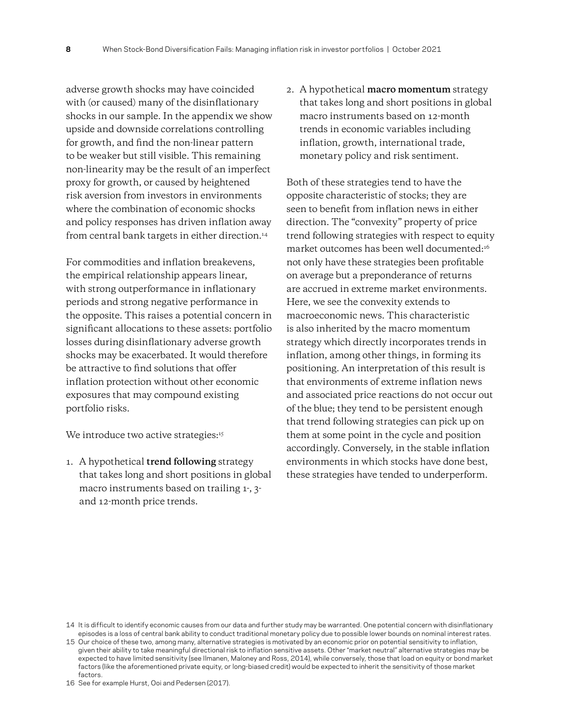adverse growth shocks may have coincided with (or caused) many of the disinflationary shocks in our sample. In the appendix we show upside and downside correlations controlling for growth, and find the non-linear pattern to be weaker but still visible. This remaining non-linearity may be the result of an imperfect proxy for growth, or caused by heightened risk aversion from investors in environments where the combination of economic shocks and policy responses has driven inflation away from central bank targets in either direction.<sup>14</sup>

For commodities and inflation breakevens, the empirical relationship appears linear, with strong outperformance in inflationary periods and strong negative performance in the opposite. This raises a potential concern in significant allocations to these assets: portfolio losses during disinflationary adverse growth shocks may be exacerbated. It would therefore be attractive to find solutions that offer inflation protection without other economic exposures that may compound existing portfolio risks.

We introduce two active strategies:<sup>15</sup>

1. A hypothetical **trend following** strategy that takes long and short positions in global macro instruments based on trailing 1-, 3 and 12-month price trends.

2. A hypothetical **macro momentum** strategy that takes long and short positions in global macro instruments based on 12-month trends in economic variables including inflation, growth, international trade, monetary policy and risk sentiment.

Both of these strategies tend to have the opposite characteristic of stocks; they are seen to benefit from inflation news in either direction. The "convexity" property of price trend following strategies with respect to equity market outcomes has been well documented:16 not only have these strategies been profitable on average but a preponderance of returns are accrued in extreme market environments. Here, we see the convexity extends to macroeconomic news. This characteristic is also inherited by the macro momentum strategy which directly incorporates trends in inflation, among other things, in forming its positioning. An interpretation of this result is that environments of extreme inflation news and associated price reactions do not occur out of the blue; they tend to be persistent enough that trend following strategies can pick up on them at some point in the cycle and position accordingly. Conversely, in the stable inflation environments in which stocks have done best, these strategies have tended to underperform.

16 See for example Hurst, Ooi and Pedersen (2017).

<sup>14</sup> It is difficult to identify economic causes from our data and further study may be warranted. One potential concern with disinflationary episodes is a loss of central bank ability to conduct traditional monetary policy due to possible lower bounds on nominal interest rates.

<sup>15</sup> Our choice of these two, among many, alternative strategies is motivated by an economic prior on potential sensitivity to inflation, given their ability to take meaningful directional risk to inflation sensitive assets. Other "market neutral" alternative strategies may be expected to have limited sensitivity (see Ilmanen, Maloney and Ross, 2014), while conversely, those that load on equity or bond market factors (like the aforementioned private equity, or long-biased credit) would be expected to inherit the sensitivity of those market factors.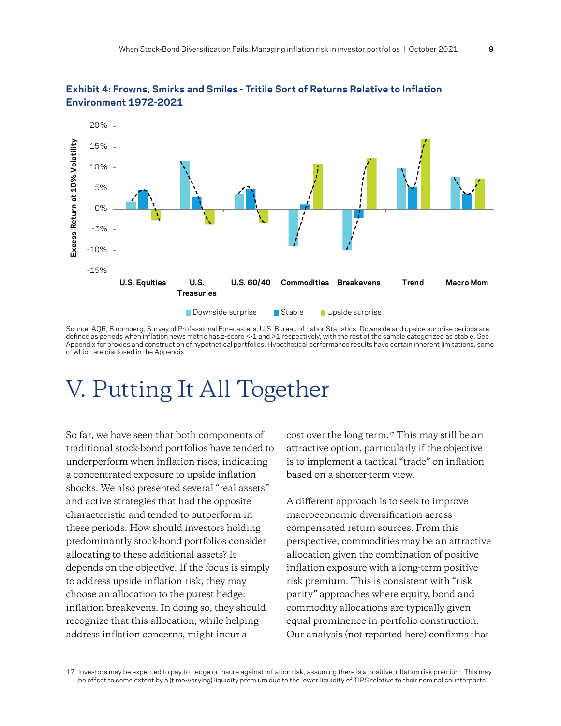



Source: AQR, Bloomberg, Survey of Professional Forecasters, U.S. Bureau of Labor Statistics. Downside and upside surprise periods are defined as periods when inflation news metric has z-score <-1 and >1 respectively, with the rest of the sample categorized as stable. See Appendix for proxies and construction of hypothetical portfolios. Hypothetical performance results have certain inherent limitations, some of which are disclosed in the Appendix.

# V. Putting It All Together

So far, we have seen that both components of traditional stock-bond portfolios have tended to underperform when inflation rises, indicating a concentrated exposure to upside inflation shocks. We also presented several "real assets" and active strategies that had the opposite characteristic and tended to outperform in these periods. How should investors holding predominantly stock-bond portfolios consider allocating to these additional assets? It depends on the objective. If the focus is simply to address upside inflation risk, they may choose an allocation to the purest hedge: inflation breakevens. In doing so, they should recognize that this allocation, while helping address inflation concerns, might incur a

cost over the long term.17 This may still be an attractive option, particularly if the objective is to implement a tactical "trade" on inflation based on a shorter-term view.

A different approach is to seek to improve macroeconomic diversification across compensated return sources. From this perspective, commodities may be an attractive allocation given the combination of positive inflation exposure with a long-term positive risk premium. This is consistent with "risk parity" approaches where equity, bond and commodity allocations are typically given equal prominence in portfolio construction. Our analysis (not reported here) confirms that

17 Investors may be expected to pay to hedge or insure against inflation risk, assuming there is a positive inflation risk premium. This may be offset to some extent by a (time-varying) liquidity premium due to the lower liquidity of TIPS relative to their nominal counterparts.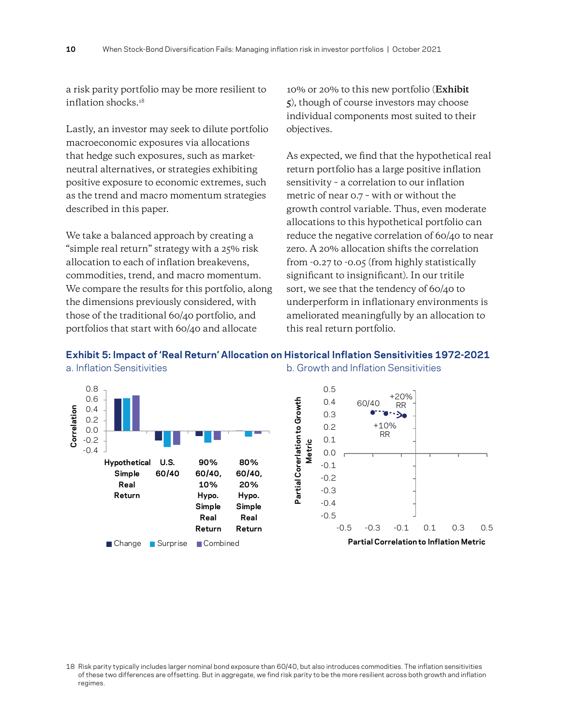a risk parity portfolio may be more resilient to inflation shocks.18

Lastly, an investor may seek to dilute portfolio macroeconomic exposures via allocations that hedge such exposures, such as marketneutral alternatives, or strategies exhibiting positive exposure to economic extremes, such as the trend and macro momentum strategies described in this paper.

We take a balanced approach by creating a "simple real return" strategy with a 25% risk allocation to each of inflation breakevens, commodities, trend, and macro momentum. We compare the results for this portfolio, along the dimensions previously considered, with those of the traditional 60/40 portfolio, and portfolios that start with 60/40 and allocate

10% or 20% to this new portfolio (**Exhibit 5**), though of course investors may choose individual components most suited to their objectives.

As expected, we find that the hypothetical real return portfolio has a large positive inflation sensitivity – a correlation to our inflation metric of near 0.7 – with or without the growth control variable. Thus, even moderate allocations to this hypothetical portfolio can reduce the negative correlation of 60/40 to near zero. A 20% allocation shifts the correlation from -0.27 to -0.05 (from highly statistically significant to insignificant). In our tritile sort, we see that the tendency of 60/40 to underperform in inflationary environments is ameliorated meaningfully by an allocation to this real return portfolio.



**Exhibit 5: Impact of 'Real Return' Allocation on Historical Inflation Sensitivities 1972-2021** a. Inflation Sensitivities b. Growth and Inflation Sensitivities

<sup>18</sup> Risk parity typically includes larger nominal bond exposure than 60/40, but also introduces commodities. The inflation sensitivities of these two differences are offsetting. But in aggregate, we find risk parity to be the more resilient across both growth and inflation regimes.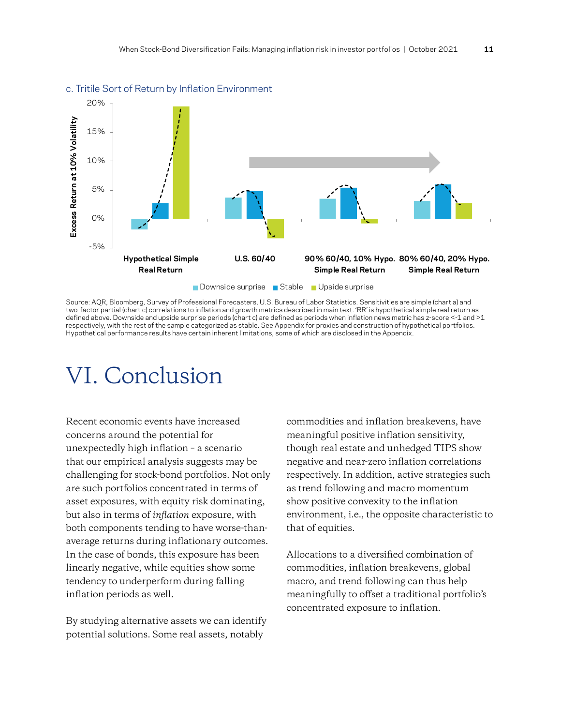

#### c. Tritile Sort of Return by Inflation Environment

Source: AQR, Bloomberg, Survey of Professional Forecasters, U.S. Bureau of Labor Statistics. Sensitivities are simple (chart a) and two-factor partial (chart c) correlations to inflation and growth metrics described in main text. 'RR' is hypothetical simple real return as defined above. Downside and upside surprise periods (chart c) are defined as periods when inflation news metric has z-score <-1 and >1 respectively, with the rest of the sample categorized as stable. See Appendix for proxies and construction of hypothetical portfolios. Hypothetical performance results have certain inherent limitations, some of which are disclosed in the Appendix.

### VI. Conclusion

Recent economic events have increased concerns around the potential for unexpectedly high inflation – a scenario that our empirical analysis suggests may be challenging for stock-bond portfolios. Not only are such portfolios concentrated in terms of asset exposures, with equity risk dominating, but also in terms of *inflation* exposure, with both components tending to have worse-thanaverage returns during inflationary outcomes. In the case of bonds, this exposure has been linearly negative, while equities show some tendency to underperform during falling inflation periods as well.

By studying alternative assets we can identify potential solutions. Some real assets, notably

commodities and inflation breakevens, have meaningful positive inflation sensitivity, though real estate and unhedged TIPS show negative and near-zero inflation correlations respectively. In addition, active strategies such as trend following and macro momentum show positive convexity to the inflation environment, i.e., the opposite characteristic to that of equities.

Allocations to a diversified combination of commodities, inflation breakevens, global macro, and trend following can thus help meaningfully to offset a traditional portfolio's concentrated exposure to inflation.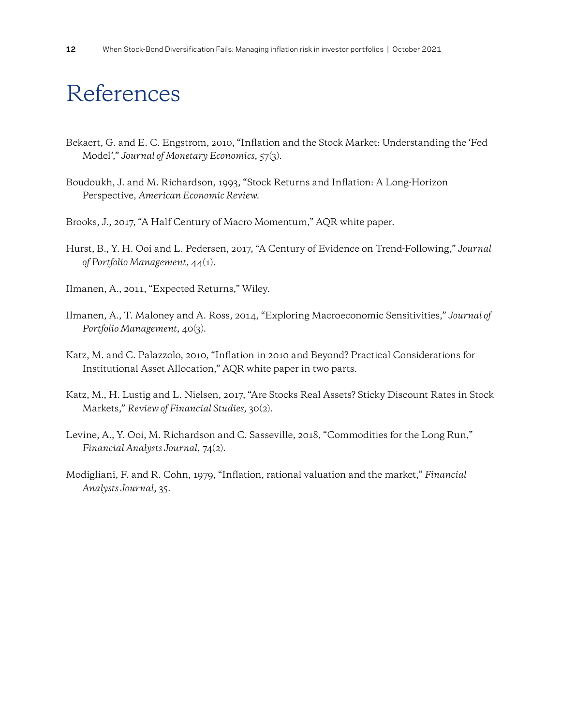# References

- Bekaert, G. and E. C. Engstrom, 2010, "Inflation and the Stock Market: Understanding the 'Fed Model'," *Journal of Monetary Economics*, 57(3).
- Boudoukh, J. and M. Richardson, 1993, "Stock Returns and Inflation: A Long-Horizon Perspective, *American Economic Review*.
- Brooks, J., 2017, "A Half Century of Macro Momentum," AQR white paper.
- Hurst, B., Y. H. Ooi and L. Pedersen, 2017, "A Century of Evidence on Trend-Following," *Journal of Portfolio Management*, 44(1).
- Ilmanen, A., 2011, "Expected Returns," Wiley.
- Ilmanen, A., T. Maloney and A. Ross, 2014, "Exploring Macroeconomic Sensitivities," *Journal of Portfolio Management*, 40(3).
- Katz, M. and C. Palazzolo, 2010, "Inflation in 2010 and Beyond? Practical Considerations for Institutional Asset Allocation," AQR white paper in two parts.
- Katz, M., H. Lustig and L. Nielsen, 2017, "Are Stocks Real Assets? Sticky Discount Rates in Stock Markets," *Review of Financial Studies*, 30(2).
- Levine, A., Y. Ooi, M. Richardson and C. Sasseville, 2018, "Commodities for the Long Run," *Financial Analysts Journal*, 74(2).
- Modigliani, F. and R. Cohn, 1979, "Inflation, rational valuation and the market," *Financial Analysts Journal*, 35.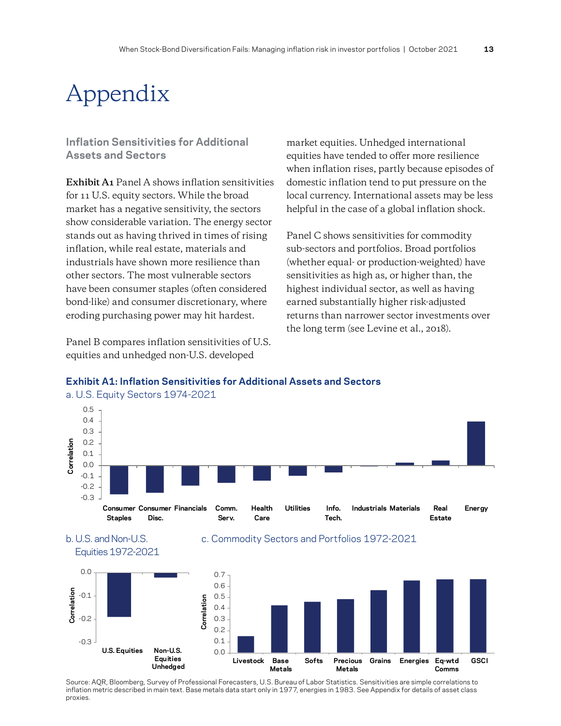# Appendix

### **Inflation Sensitivities for Additional Assets and Sectors**

**Exhibit A1** Panel A shows inflation sensitivities for 11 U.S. equity sectors. While the broad market has a negative sensitivity, the sectors show considerable variation. The energy sector stands out as having thrived in times of rising inflation, while real estate, materials and industrials have shown more resilience than other sectors. The most vulnerable sectors have been consumer staples (often considered bond-like) and consumer discretionary, where eroding purchasing power may hit hardest.

Panel B compares inflation sensitivities of U.S. equities and unhedged non-U.S. developed

market equities. Unhedged international equities have tended to offer more resilience when inflation rises, partly because episodes of domestic inflation tend to put pressure on the local currency. International assets may be less helpful in the case of a global inflation shock.

Panel C shows sensitivities for commodity sub-sectors and portfolios. Broad portfolios (whether equal- or production-weighted) have sensitivities as high as, or higher than, the highest individual sector, as well as having earned substantially higher risk-adjusted returns than narrower sector investments over the long term (see Levine et al., 2018).



### **Exhibit A1: Inflation Sensitivities for Additional Assets and Sectors**

Source: AQR, Bloomberg, Survey of Professional Forecasters, U.S. Bureau of Labor Statistics. Sensitivities are simple correlations to inflation metric described in main text. Base metals data start only in 1977, energies in 1983. See Appendix for details of asset class proxies.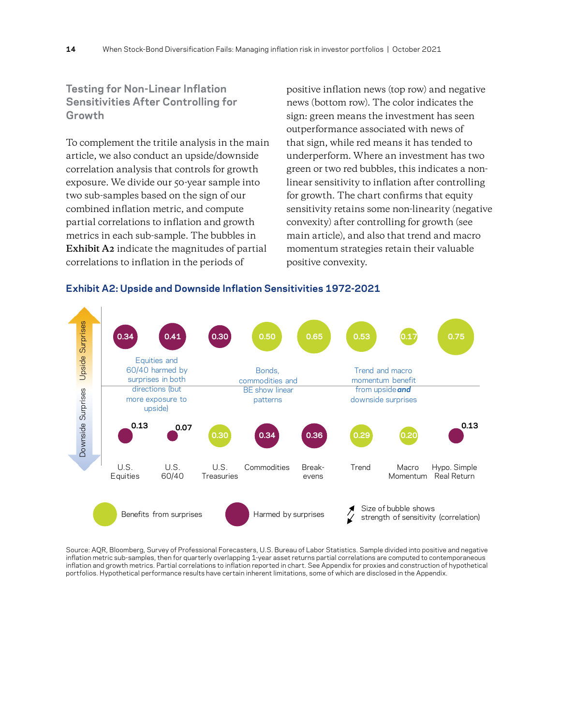**Testing for Non-Linear Inflation Sensitivities After Controlling for Growth**

To complement the tritile analysis in the main article, we also conduct an upside/downside correlation analysis that controls for growth exposure. We divide our 50-year sample into two sub-samples based on the sign of our combined inflation metric, and compute partial correlations to inflation and growth metrics in each sub-sample. The bubbles in **Exhibit A2** indicate the magnitudes of partial correlations to inflation in the periods of

positive inflation news (top row) and negative news (bottom row). The color indicates the sign: green means the investment has seen outperformance associated with news of that sign, while red means it has tended to underperform. Where an investment has two green or two red bubbles, this indicates a nonlinear sensitivity to inflation after controlling for growth. The chart confirms that equity sensitivity retains some non-linearity (negative convexity) after controlling for growth (see main article), and also that trend and macro momentum strategies retain their valuable positive convexity.



**Exhibit A2: Upside and Downside Inflation Sensitivities 1972-2021**

Source: AQR, Bloomberg, Survey of Professional Forecasters, U.S. Bureau of Labor Statistics. Sample divided into positive and negative inflation metric sub-samples, then for quarterly overlapping 1-year asset returns partial correlations are computed to contemporaneous inflation and growth metrics. Partial correlations to inflation reported in chart. See Appendix for proxies and construction of hypothetical portfolios. Hypothetical performance results have certain inherent limitations, some of which are disclosed in the Appendix.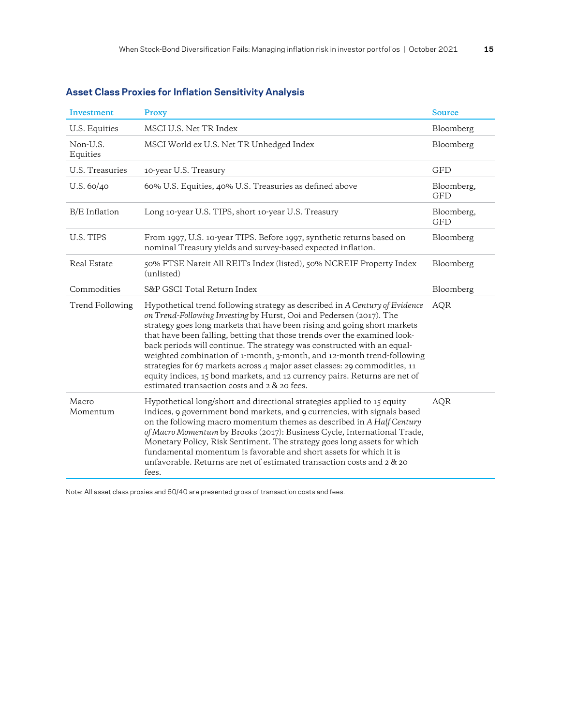| Investment           | Proxy                                                                                                                                                                                                                                                                                                                                                                                                                                                                                                                                                                                                                                                                        | <b>Source</b>            |
|----------------------|------------------------------------------------------------------------------------------------------------------------------------------------------------------------------------------------------------------------------------------------------------------------------------------------------------------------------------------------------------------------------------------------------------------------------------------------------------------------------------------------------------------------------------------------------------------------------------------------------------------------------------------------------------------------------|--------------------------|
| U.S. Equities        | MSCI U.S. Net TR Index                                                                                                                                                                                                                                                                                                                                                                                                                                                                                                                                                                                                                                                       | Bloomberg                |
| Non-U.S.<br>Equities | MSCI World ex U.S. Net TR Unhedged Index                                                                                                                                                                                                                                                                                                                                                                                                                                                                                                                                                                                                                                     | Bloomberg                |
| U.S. Treasuries      | 10-year U.S. Treasury                                                                                                                                                                                                                                                                                                                                                                                                                                                                                                                                                                                                                                                        | GFD                      |
| U.S. 60/40           | 60% U.S. Equities, 40% U.S. Treasuries as defined above                                                                                                                                                                                                                                                                                                                                                                                                                                                                                                                                                                                                                      | Bloomberg,<br><b>GFD</b> |
| <b>B/E</b> Inflation | Long 10-year U.S. TIPS, short 10-year U.S. Treasury                                                                                                                                                                                                                                                                                                                                                                                                                                                                                                                                                                                                                          | Bloomberg,<br><b>GFD</b> |
| U.S. TIPS            | From 1997, U.S. 10-year TIPS. Before 1997, synthetic returns based on<br>nominal Treasury yields and survey-based expected inflation.                                                                                                                                                                                                                                                                                                                                                                                                                                                                                                                                        | Bloomberg                |
| Real Estate          | 50% FTSE Nareit All REITs Index (listed), 50% NCREIF Property Index<br>(unlisted)                                                                                                                                                                                                                                                                                                                                                                                                                                                                                                                                                                                            | Bloomberg                |
| Commodities          | S&P GSCI Total Return Index                                                                                                                                                                                                                                                                                                                                                                                                                                                                                                                                                                                                                                                  | Bloomberg                |
| Trend Following      | Hypothetical trend following strategy as described in A Century of Evidence<br>on Trend-Following Investing by Hurst, Ooi and Pedersen (2017). The<br>strategy goes long markets that have been rising and going short markets<br>that have been falling, betting that those trends over the examined look-<br>back periods will continue. The strategy was constructed with an equal-<br>weighted combination of 1-month, 3-month, and 12-month trend-following<br>strategies for 67 markets across 4 major asset classes: 29 commodities, 11<br>equity indices, 15 bond markets, and 12 currency pairs. Returns are net of<br>estimated transaction costs and 2 & 20 fees. | <b>AQR</b>               |
| Macro<br>Momentum    | Hypothetical long/short and directional strategies applied to 15 equity<br>indices, 9 government bond markets, and 9 currencies, with signals based<br>on the following macro momentum themes as described in A Half Century<br>of Macro Momentum by Brooks (2017): Business Cycle, International Trade,<br>Monetary Policy, Risk Sentiment. The strategy goes long assets for which<br>fundamental momentum is favorable and short assets for which it is<br>unfavorable. Returns are net of estimated transaction costs and 2 & 20<br>fees.                                                                                                                                | <b>AQR</b>               |

### **Asset Class Proxies for Inflation Sensitivity Analysis**

Note: All asset class proxies and 60/40 are presented gross of transaction costs and fees.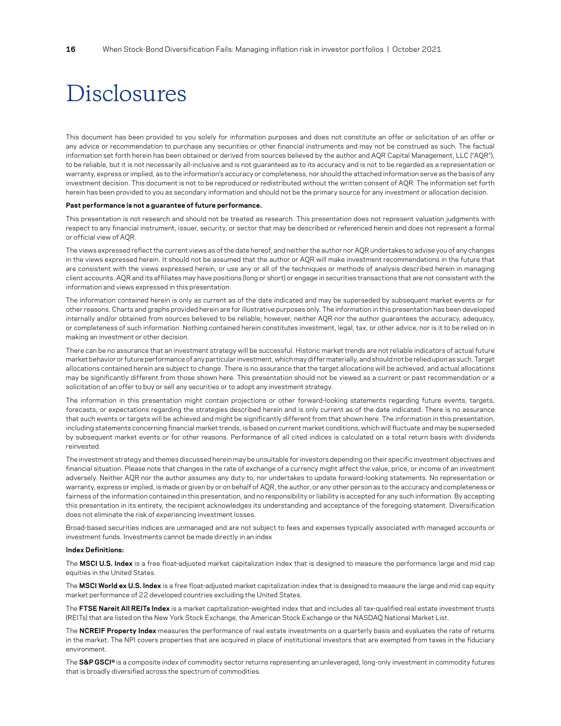### Disclosures

This document has been provided to you solely for information purposes and does not constitute an offer or solicitation of an offer or any advice or recommendation to purchase any securities or other financial instruments and may not be construed as such. The factual information set forth herein has been obtained or derived from sources believed by the author and AQR Capital Management, LLC ("AQR"), to be reliable, but it is not necessarily all-inclusive and is not guaranteed as to its accuracy and is not to be regarded as a representation or warranty, express orimplied, as to the information's accuracy or completeness, nor should the attached information serve as the basis of any investment decision. This document is not to be reproduced or redistributed without the written consent of AQR. The information set forth herein has been provided to you as secondary information and should not be the primary source for any investment or allocation decision.

#### **Past performance is not a guarantee of future performance.**

This presentation is not research and should not be treated as research. This presentation does not represent valuation judgments with respect to any financial instrument, issuer, security, or sector that may be described or referenced herein and does not represent a formal or official view of AQR.

The views expressed reflect the current views as of the date hereof, and neither the author nor AQR undertakes to advise you of any changes in the views expressed herein. It should not be assumed that the author or AQR will make investment recommendations in the future that are consistent with the views expressed herein, or use any or all of the techniques or methods of analysis described herein in managing client accounts. AQR and its affiliates may have positions (long or short) or engage in securities transactions that are not consistent with the information and views expressed in this presentation.

The information contained herein is only as current as of the date indicated and may be superseded by subsequent market events or for other reasons. Charts and graphs provided herein are for illustrative purposes only. The information in this presentation has been developed internally and/or obtained from sources believed to be reliable; however, neither AQR nor the author guarantees the accuracy, adequacy, or completeness of such information. Nothing contained herein constitutes investment, legal, tax, or other advice, nor is it to be relied on in making an investment or other decision.

There can be no assurance that an investment strategy will be successful. Historic market trends are not reliable indicators of actual future market behavior orfuture performance of any particularinvestment, which may differ materially, and should not be relied upon as such. Target allocations contained herein are subject to change. There is no assurance that the target allocations will be achieved, and actual allocations may be significantly different from those shown here. This presentation should not be viewed as a current or past recommendation or a solicitation of an offer to buy or sell any securities or to adopt any investment strategy.

The information in this presentation might contain projections or other forward-looking statements regarding future events, targets, forecasts, or expectations regarding the strategies described herein and is only current as of the date indicated. There is no assurance that such events or targets will be achieved and might be significantly different from that shown here. The information in this presentation, including statements concerning financial market trends, is based on current market conditions, which will fluctuate and may be superseded by subsequent market events or for other reasons. Performance of all cited indices is calculated on a total return basis with dividends reinvested.

The investment strategy and themes discussed herein may be unsuitable for investors depending on their specific investment objectives and financial situation. Please note that changes in the rate of exchange of a currency might affect the value, price, or income of an investment adversely. Neither AQR nor the author assumes any duty to, nor undertakes to update forward-looking statements. No representation or warranty, express or implied, is made or given by or on behalf of AQR, the author, or any other person as to the accuracy and completeness or fairness of the information contained in this presentation, and no responsibility or liability is accepted for any such information. By accepting this presentation in its entirety, the recipient acknowledges its understanding and acceptance of the foregoing statement. Diversification does not eliminate the risk of experiencing investment losses.

Broad-based securities indices are unmanaged and are not subject to fees and expenses typically associated with managed accounts or investment funds. Investments cannot be made directly in an index

#### **Index Definitions:**

The **MSCI U.S. Index** is a free float-adjusted market capitalization index that is designed to measure the performance large and mid cap equities in the United States.

The **MSCI World ex U.S. Index** is a free float-adjusted market capitalization index that is designed to measure the large and mid cap equity market performance of 22 developed countries excluding the United States.

The **FTSE Nareit All REITs Index** is a market capitalization-weighted index that and includes all tax-qualified real estate investment trusts (REITs) that are listed on the New York Stock Exchange, the American Stock Exchange or the NASDAQ National Market List.

The **NCREIF Property Index** measures the performance of real estate investments on a quarterly basis and evaluates the rate of returns in the market. The NPI covers properties that are acquired in place of institutional investors that are exempted from taxes in the fiduciary environment.

The **S&P GSCI®** is a composite index of commodity sector returns representing an unleveraged, long-only investment in commodity futures that is broadly diversified across the spectrum of commodities.